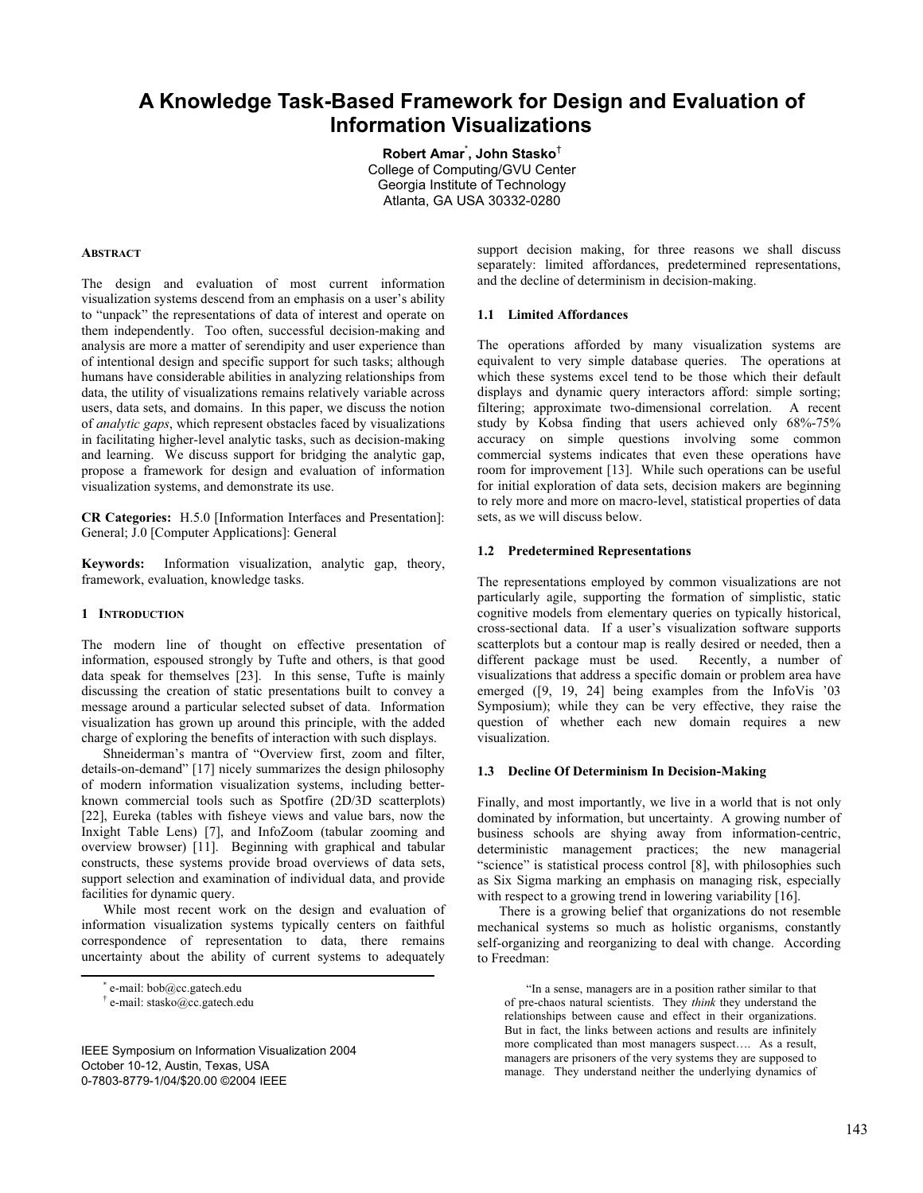# **A Knowledge Task-Based Framework for Design and Evaluation of Information Visualizations**

**Robert Amar**\* **, John Stasko**† College of Computing/GVU Center<br>Georgia Institute of Technology Atlanta, GA USA 30332-0280 Atlanta, GA USA 30332-0280

#### **ABSTRACT**

The design and evaluation of most current information visualization systems descend from an emphasis on a user's ability to "unpack" the representations of data of interest and operate on them independently. Too often, successful decision-making and analysis are more a matter of serendipity and user experience than of intentional design and specific support for such tasks; although humans have considerable abilities in analyzing relationships from data, the utility of visualizations remains relatively variable across users, data sets, and domains. In this paper, we discuss the notion of *analytic gaps*, which represent obstacles faced by visualizations in facilitating higher-level analytic tasks, such as decision-making and learning. We discuss support for bridging the analytic gap, propose a framework for design and evaluation of information visualization systems, and demonstrate its use.

**CR Categories:** H.5.0 [Information Interfaces and Presentation]: General; J.0 [Computer Applications]: General

**Keywords:** Information visualization, analytic gap, theory, framework, evaluation, knowledge tasks.

## **1 INTRODUCTION**

The modern line of thought on effective presentation of information, espoused strongly by Tufte and others, is that good data speak for themselves [23]. In this sense, Tufte is mainly discussing the creation of static presentations built to convey a message around a particular selected subset of data. Information visualization has grown up around this principle, with the added charge of exploring the benefits of interaction with such displays.

Shneiderman's mantra of "Overview first, zoom and filter, details-on-demand" [17] nicely summarizes the design philosophy of modern information visualization systems, including betterknown commercial tools such as Spotfire (2D/3D scatterplots) [22], Eureka (tables with fisheye views and value bars, now the Inxight Table Lens) [7], and InfoZoom (tabular zooming and overview browser) [11]. Beginning with graphical and tabular constructs, these systems provide broad overviews of data sets, support selection and examination of individual data, and provide facilities for dynamic query.

While most recent work on the design and evaluation of information visualization systems typically centers on faithful correspondence of representation to data, there remains uncertainty about the ability of current systems to adequately

October 10-12, Austin, Texas, USA 0-7803-8779-1/04/\$20.00 ©2004 IEEE IEEE Symposium on Information Visualization 2004 support decision making, for three reasons we shall discuss separately: limited affordances, predetermined representations, and the decline of determinism in decision-making.

#### **1.1 Limited Affordances**

The operations afforded by many visualization systems are equivalent to very simple database queries. The operations at which these systems excel tend to be those which their default displays and dynamic query interactors afford: simple sorting; filtering; approximate two-dimensional correlation. A recent study by Kobsa finding that users achieved only 68%-75% accuracy on simple questions involving some common commercial systems indicates that even these operations have room for improvement [13]. While such operations can be useful for initial exploration of data sets, decision makers are beginning to rely more and more on macro-level, statistical properties of data sets, as we will discuss below.

#### **1.2 Predetermined Representations**

The representations employed by common visualizations are not particularly agile, supporting the formation of simplistic, static cognitive models from elementary queries on typically historical, cross-sectional data. If a user's visualization software supports scatterplots but a contour map is really desired or needed, then a different package must be used. Recently, a number of visualizations that address a specific domain or problem area have emerged ([9, 19, 24] being examples from the InfoVis '03 Symposium); while they can be very effective, they raise the question of whether each new domain requires a new visualization.

#### **1.3 Decline Of Determinism In Decision-Making**

Finally, and most importantly, we live in a world that is not only dominated by information, but uncertainty. A growing number of business schools are shying away from information-centric, deterministic management practices; the new managerial "science" is statistical process control [8], with philosophies such as Six Sigma marking an emphasis on managing risk, especially with respect to a growing trend in lowering variability [16].

There is a growing belief that organizations do not resemble mechanical systems so much as holistic organisms, constantly self-organizing and reorganizing to deal with change. According to Freedman:

"In a sense, managers are in a position rather similar to that of pre-chaos natural scientists. They *think* they understand the relationships between cause and effect in their organizations. But in fact, the links between actions and results are infinitely more complicated than most managers suspect…. As a result, managers are prisoners of the very systems they are supposed to manage. They understand neither the underlying dynamics of

<sup>\*</sup> e-mail: bob@cc.gatech.edu

<sup>†</sup> e-mail: stasko@cc.gatech.edu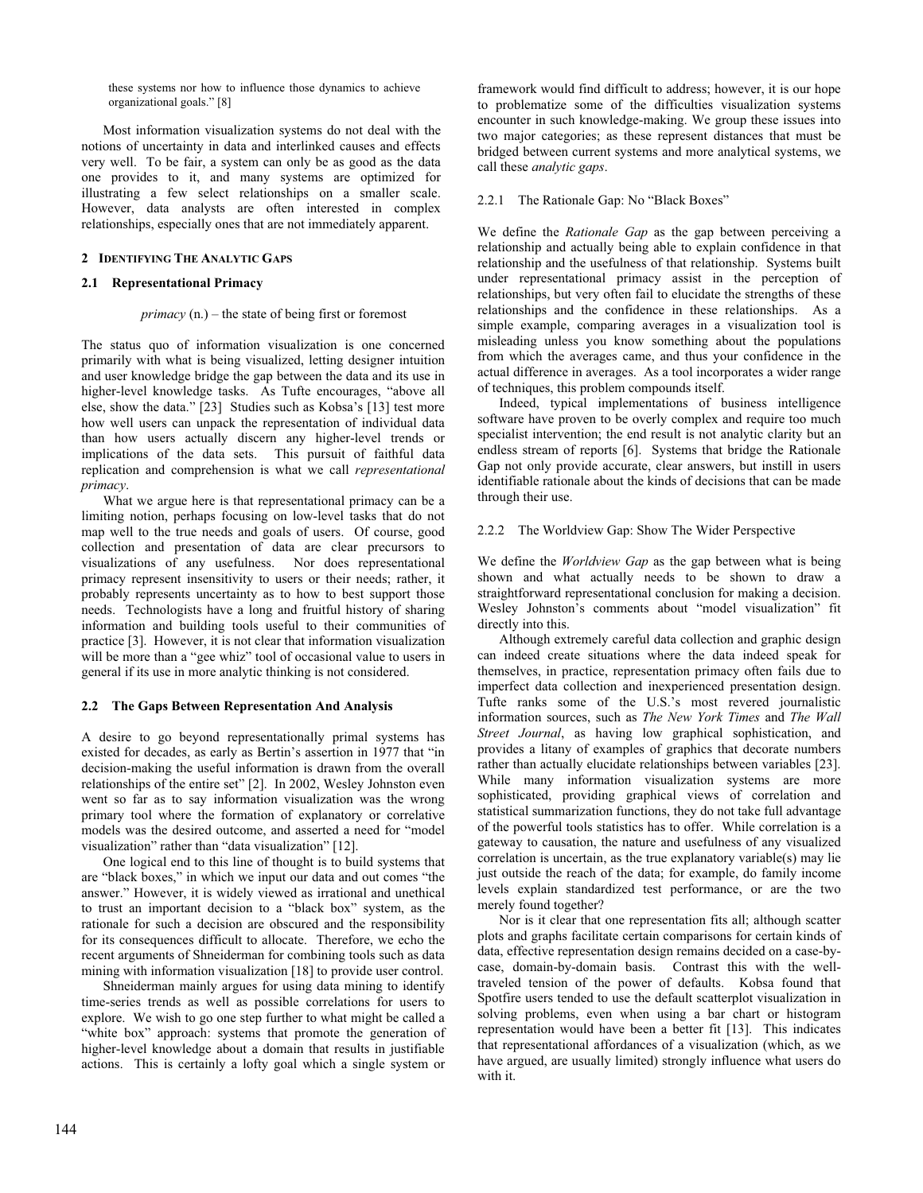these systems nor how to influence those dynamics to achieve organizational goals." [8]

Most information visualization systems do not deal with the notions of uncertainty in data and interlinked causes and effects very well. To be fair, a system can only be as good as the data one provides to it, and many systems are optimized for illustrating a few select relationships on a smaller scale. However, data analysts are often interested in complex relationships, especially ones that are not immediately apparent.

#### **2 IDENTIFYING THE ANALYTIC GAPS**

#### **2.1 Representational Primacy**

## *primacy* (n.) – the state of being first or foremost

The status quo of information visualization is one concerned primarily with what is being visualized, letting designer intuition and user knowledge bridge the gap between the data and its use in higher-level knowledge tasks. As Tufte encourages, "above all else, show the data." [23] Studies such as Kobsa's [13] test more how well users can unpack the representation of individual data than how users actually discern any higher-level trends or implications of the data sets. This pursuit of faithful data replication and comprehension is what we call *representational primacy*.

What we argue here is that representational primacy can be a limiting notion, perhaps focusing on low-level tasks that do not map well to the true needs and goals of users. Of course, good collection and presentation of data are clear precursors to visualizations of any usefulness. Nor does representational primacy represent insensitivity to users or their needs; rather, it probably represents uncertainty as to how to best support those needs. Technologists have a long and fruitful history of sharing information and building tools useful to their communities of practice [3]. However, it is not clear that information visualization will be more than a "gee whiz" tool of occasional value to users in general if its use in more analytic thinking is not considered.

#### **2.2 The Gaps Between Representation And Analysis**

A desire to go beyond representationally primal systems has existed for decades, as early as Bertin's assertion in 1977 that "in decision-making the useful information is drawn from the overall relationships of the entire set" [2]. In 2002, Wesley Johnston even went so far as to say information visualization was the wrong primary tool where the formation of explanatory or correlative models was the desired outcome, and asserted a need for "model visualization" rather than "data visualization" [12].

One logical end to this line of thought is to build systems that are "black boxes," in which we input our data and out comes "the answer." However, it is widely viewed as irrational and unethical to trust an important decision to a "black box" system, as the rationale for such a decision are obscured and the responsibility for its consequences difficult to allocate. Therefore, we echo the recent arguments of Shneiderman for combining tools such as data mining with information visualization [18] to provide user control.

Shneiderman mainly argues for using data mining to identify time-series trends as well as possible correlations for users to explore. We wish to go one step further to what might be called a "white box" approach: systems that promote the generation of higher-level knowledge about a domain that results in justifiable actions. This is certainly a lofty goal which a single system or

framework would find difficult to address; however, it is our hope to problematize some of the difficulties visualization systems encounter in such knowledge-making. We group these issues into two major categories; as these represent distances that must be bridged between current systems and more analytical systems, we call these *analytic gaps*.

#### 2.2.1 The Rationale Gap: No "Black Boxes"

We define the *Rationale Gap* as the gap between perceiving a relationship and actually being able to explain confidence in that relationship and the usefulness of that relationship. Systems built under representational primacy assist in the perception of relationships, but very often fail to elucidate the strengths of these relationships and the confidence in these relationships. As a simple example, comparing averages in a visualization tool is misleading unless you know something about the populations from which the averages came, and thus your confidence in the actual difference in averages. As a tool incorporates a wider range of techniques, this problem compounds itself.

Indeed, typical implementations of business intelligence software have proven to be overly complex and require too much specialist intervention; the end result is not analytic clarity but an endless stream of reports [6]. Systems that bridge the Rationale Gap not only provide accurate, clear answers, but instill in users identifiable rationale about the kinds of decisions that can be made through their use.

#### 2.2.2 The Worldview Gap: Show The Wider Perspective

We define the *Worldview Gap* as the gap between what is being shown and what actually needs to be shown to draw a straightforward representational conclusion for making a decision. Wesley Johnston's comments about "model visualization" fit directly into this.

Although extremely careful data collection and graphic design can indeed create situations where the data indeed speak for themselves, in practice, representation primacy often fails due to imperfect data collection and inexperienced presentation design. Tufte ranks some of the U.S.'s most revered journalistic information sources, such as *The New York Times* and *The Wall Street Journal*, as having low graphical sophistication, and provides a litany of examples of graphics that decorate numbers rather than actually elucidate relationships between variables [23]. While many information visualization systems are more sophisticated, providing graphical views of correlation and statistical summarization functions, they do not take full advantage of the powerful tools statistics has to offer. While correlation is a gateway to causation, the nature and usefulness of any visualized correlation is uncertain, as the true explanatory variable(s) may lie just outside the reach of the data; for example, do family income levels explain standardized test performance, or are the two merely found together?

Nor is it clear that one representation fits all; although scatter plots and graphs facilitate certain comparisons for certain kinds of data, effective representation design remains decided on a case-bycase, domain-by-domain basis. Contrast this with the welltraveled tension of the power of defaults. Kobsa found that Spotfire users tended to use the default scatterplot visualization in solving problems, even when using a bar chart or histogram representation would have been a better fit [13]. This indicates that representational affordances of a visualization (which, as we have argued, are usually limited) strongly influence what users do with it.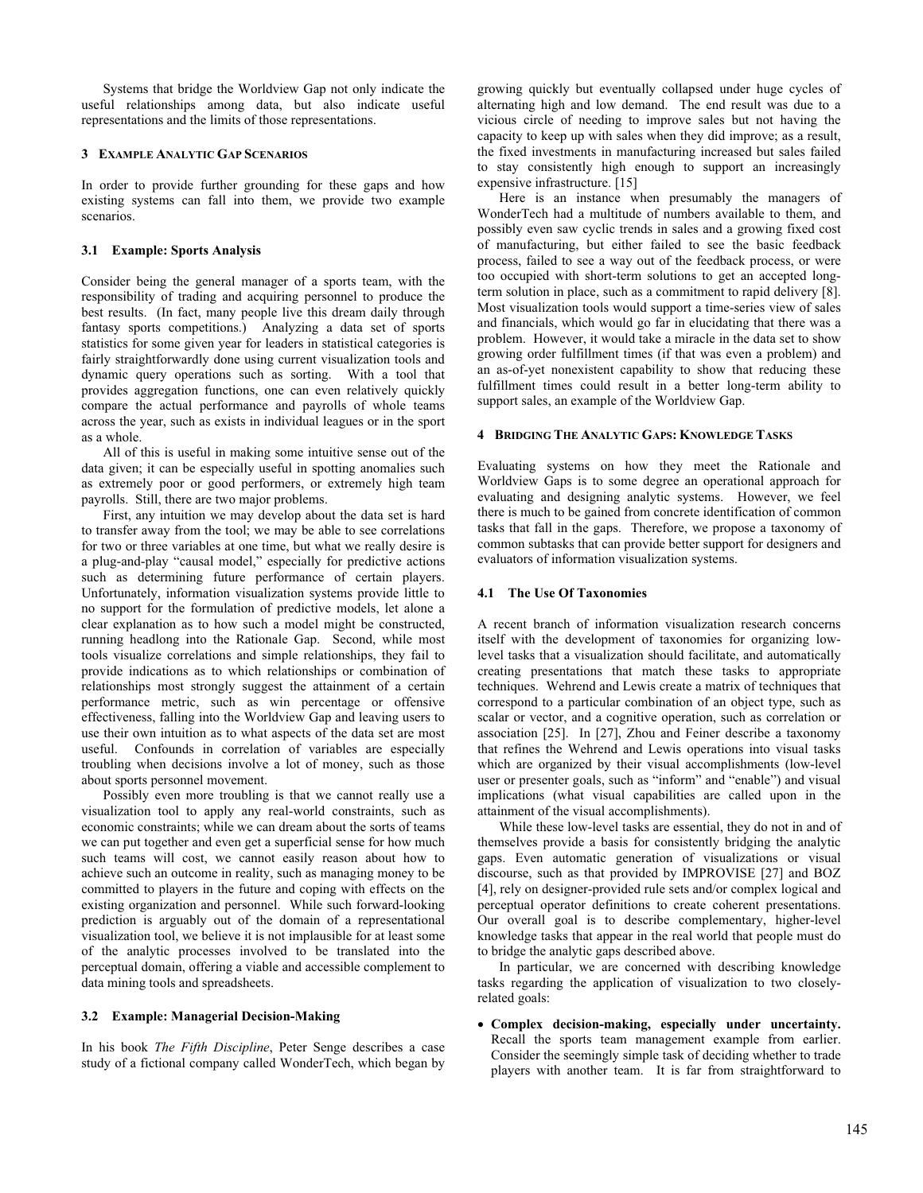Systems that bridge the Worldview Gap not only indicate the useful relationships among data, but also indicate useful representations and the limits of those representations.

#### **3 EXAMPLE ANALYTIC GAP SCENARIOS**

In order to provide further grounding for these gaps and how existing systems can fall into them, we provide two example scenarios.

#### **3.1 Example: Sports Analysis**

Consider being the general manager of a sports team, with the responsibility of trading and acquiring personnel to produce the best results. (In fact, many people live this dream daily through fantasy sports competitions.) Analyzing a data set of sports statistics for some given year for leaders in statistical categories is fairly straightforwardly done using current visualization tools and dynamic query operations such as sorting. With a tool that provides aggregation functions, one can even relatively quickly compare the actual performance and payrolls of whole teams across the year, such as exists in individual leagues or in the sport as a whole.

All of this is useful in making some intuitive sense out of the data given; it can be especially useful in spotting anomalies such as extremely poor or good performers, or extremely high team payrolls. Still, there are two major problems.

First, any intuition we may develop about the data set is hard to transfer away from the tool; we may be able to see correlations for two or three variables at one time, but what we really desire is a plug-and-play "causal model," especially for predictive actions such as determining future performance of certain players. Unfortunately, information visualization systems provide little to no support for the formulation of predictive models, let alone a clear explanation as to how such a model might be constructed, running headlong into the Rationale Gap. Second, while most tools visualize correlations and simple relationships, they fail to provide indications as to which relationships or combination of relationships most strongly suggest the attainment of a certain performance metric, such as win percentage or offensive effectiveness, falling into the Worldview Gap and leaving users to use their own intuition as to what aspects of the data set are most useful. Confounds in correlation of variables are especially troubling when decisions involve a lot of money, such as those about sports personnel movement.

Possibly even more troubling is that we cannot really use a visualization tool to apply any real-world constraints, such as economic constraints; while we can dream about the sorts of teams we can put together and even get a superficial sense for how much such teams will cost, we cannot easily reason about how to achieve such an outcome in reality, such as managing money to be committed to players in the future and coping with effects on the existing organization and personnel. While such forward-looking prediction is arguably out of the domain of a representational visualization tool, we believe it is not implausible for at least some of the analytic processes involved to be translated into the perceptual domain, offering a viable and accessible complement to data mining tools and spreadsheets.

## **3.2 Example: Managerial Decision-Making**

In his book *The Fifth Discipline*, Peter Senge describes a case study of a fictional company called WonderTech, which began by growing quickly but eventually collapsed under huge cycles of alternating high and low demand. The end result was due to a vicious circle of needing to improve sales but not having the capacity to keep up with sales when they did improve; as a result, the fixed investments in manufacturing increased but sales failed to stay consistently high enough to support an increasingly expensive infrastructure. [15]

Here is an instance when presumably the managers of WonderTech had a multitude of numbers available to them, and possibly even saw cyclic trends in sales and a growing fixed cost of manufacturing, but either failed to see the basic feedback process, failed to see a way out of the feedback process, or were too occupied with short-term solutions to get an accepted longterm solution in place, such as a commitment to rapid delivery [8]. Most visualization tools would support a time-series view of sales and financials, which would go far in elucidating that there was a problem. However, it would take a miracle in the data set to show growing order fulfillment times (if that was even a problem) and an as-of-yet nonexistent capability to show that reducing these fulfillment times could result in a better long-term ability to support sales, an example of the Worldview Gap.

#### **4 BRIDGING THE ANALYTIC GAPS: KNOWLEDGE TASKS**

Evaluating systems on how they meet the Rationale and Worldview Gaps is to some degree an operational approach for evaluating and designing analytic systems. However, we feel there is much to be gained from concrete identification of common tasks that fall in the gaps. Therefore, we propose a taxonomy of common subtasks that can provide better support for designers and evaluators of information visualization systems.

## **4.1 The Use Of Taxonomies**

A recent branch of information visualization research concerns itself with the development of taxonomies for organizing lowlevel tasks that a visualization should facilitate, and automatically creating presentations that match these tasks to appropriate techniques. Wehrend and Lewis create a matrix of techniques that correspond to a particular combination of an object type, such as scalar or vector, and a cognitive operation, such as correlation or association [25]. In [27], Zhou and Feiner describe a taxonomy that refines the Wehrend and Lewis operations into visual tasks which are organized by their visual accomplishments (low-level user or presenter goals, such as "inform" and "enable") and visual implications (what visual capabilities are called upon in the attainment of the visual accomplishments).

While these low-level tasks are essential, they do not in and of themselves provide a basis for consistently bridging the analytic gaps. Even automatic generation of visualizations or visual discourse, such as that provided by IMPROVISE [27] and BOZ [4], rely on designer-provided rule sets and/or complex logical and perceptual operator definitions to create coherent presentations. Our overall goal is to describe complementary, higher-level knowledge tasks that appear in the real world that people must do to bridge the analytic gaps described above.

In particular, we are concerned with describing knowledge tasks regarding the application of visualization to two closelyrelated goals:

x **Complex decision-making, especially under uncertainty.** Recall the sports team management example from earlier. Consider the seemingly simple task of deciding whether to trade players with another team. It is far from straightforward to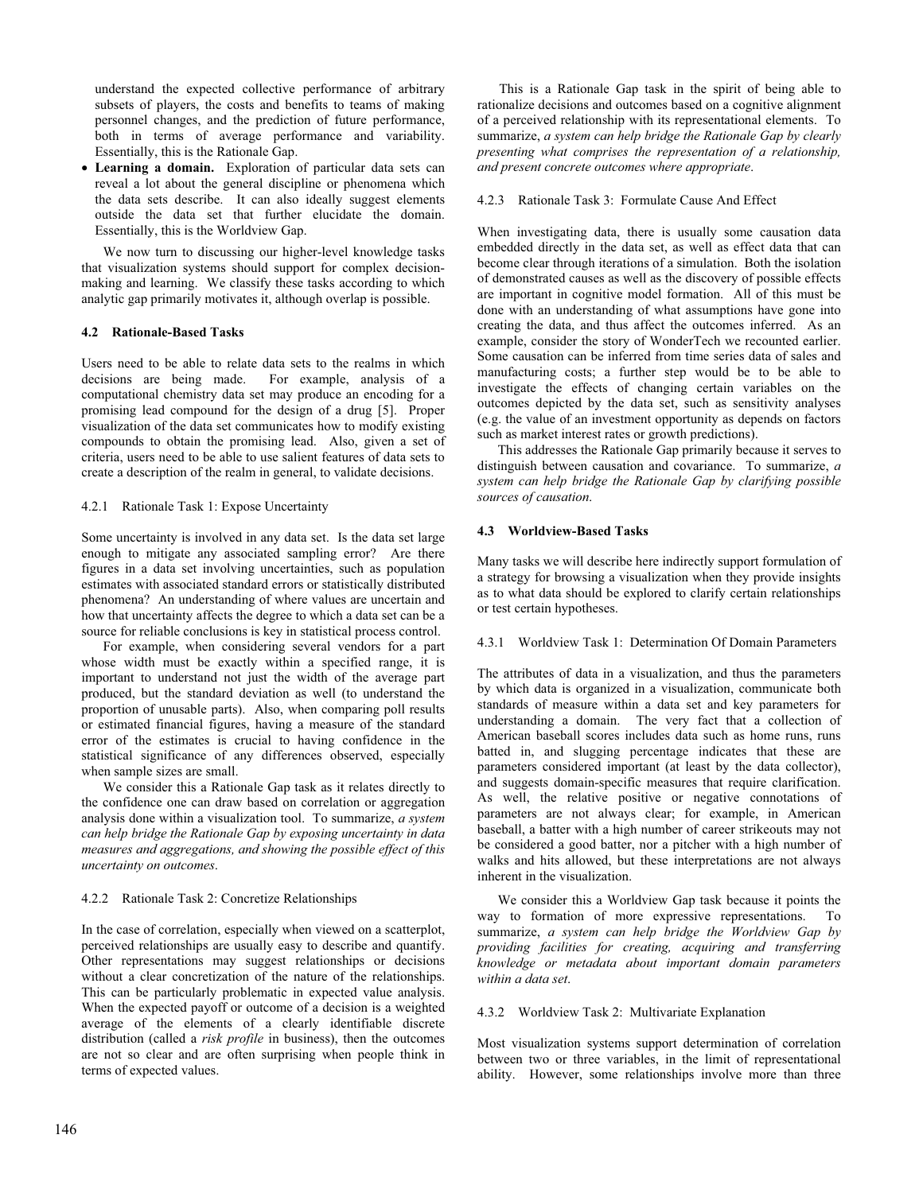understand the expected collective performance of arbitrary subsets of players, the costs and benefits to teams of making personnel changes, and the prediction of future performance, both in terms of average performance and variability. Essentially, this is the Rationale Gap.

**• Learning a domain.** Exploration of particular data sets can reveal a lot about the general discipline or phenomena which the data sets describe. It can also ideally suggest elements outside the data set that further elucidate the domain. Essentially, this is the Worldview Gap.

We now turn to discussing our higher-level knowledge tasks that visualization systems should support for complex decisionmaking and learning. We classify these tasks according to which analytic gap primarily motivates it, although overlap is possible.

## **4.2 Rationale-Based Tasks**

Users need to be able to relate data sets to the realms in which decisions are being made. For example, analysis of a computational chemistry data set may produce an encoding for a promising lead compound for the design of a drug [5]. Proper visualization of the data set communicates how to modify existing compounds to obtain the promising lead. Also, given a set of criteria, users need to be able to use salient features of data sets to create a description of the realm in general, to validate decisions.

#### 4.2.1 Rationale Task 1: Expose Uncertainty

Some uncertainty is involved in any data set. Is the data set large enough to mitigate any associated sampling error? Are there figures in a data set involving uncertainties, such as population estimates with associated standard errors or statistically distributed phenomena? An understanding of where values are uncertain and how that uncertainty affects the degree to which a data set can be a source for reliable conclusions is key in statistical process control.

For example, when considering several vendors for a part whose width must be exactly within a specified range, it is important to understand not just the width of the average part produced, but the standard deviation as well (to understand the proportion of unusable parts). Also, when comparing poll results or estimated financial figures, having a measure of the standard error of the estimates is crucial to having confidence in the statistical significance of any differences observed, especially when sample sizes are small.

We consider this a Rationale Gap task as it relates directly to the confidence one can draw based on correlation or aggregation analysis done within a visualization tool. To summarize, *a system can help bridge the Rationale Gap by exposing uncertainty in data measures and aggregations, and showing the possible effect of this uncertainty on outcomes*.

#### 4.2.2 Rationale Task 2: Concretize Relationships

In the case of correlation, especially when viewed on a scatterplot, perceived relationships are usually easy to describe and quantify. Other representations may suggest relationships or decisions without a clear concretization of the nature of the relationships. This can be particularly problematic in expected value analysis. When the expected payoff or outcome of a decision is a weighted average of the elements of a clearly identifiable discrete distribution (called a *risk profile* in business), then the outcomes are not so clear and are often surprising when people think in terms of expected values.

This is a Rationale Gap task in the spirit of being able to rationalize decisions and outcomes based on a cognitive alignment of a perceived relationship with its representational elements. To summarize, *a system can help bridge the Rationale Gap by clearly presenting what comprises the representation of a relationship, and present concrete outcomes where appropriate*.

#### 4.2.3 Rationale Task 3: Formulate Cause And Effect

When investigating data, there is usually some causation data embedded directly in the data set, as well as effect data that can become clear through iterations of a simulation. Both the isolation of demonstrated causes as well as the discovery of possible effects are important in cognitive model formation. All of this must be done with an understanding of what assumptions have gone into creating the data, and thus affect the outcomes inferred. As an example, consider the story of WonderTech we recounted earlier. Some causation can be inferred from time series data of sales and manufacturing costs; a further step would be to be able to investigate the effects of changing certain variables on the outcomes depicted by the data set, such as sensitivity analyses (e.g. the value of an investment opportunity as depends on factors such as market interest rates or growth predictions).

This addresses the Rationale Gap primarily because it serves to distinguish between causation and covariance. To summarize, *a system can help bridge the Rationale Gap by clarifying possible sources of causation*.

## **4.3 Worldview-Based Tasks**

Many tasks we will describe here indirectly support formulation of a strategy for browsing a visualization when they provide insights as to what data should be explored to clarify certain relationships or test certain hypotheses.

## 4.3.1 Worldview Task 1: Determination Of Domain Parameters

The attributes of data in a visualization, and thus the parameters by which data is organized in a visualization, communicate both standards of measure within a data set and key parameters for understanding a domain. The very fact that a collection of American baseball scores includes data such as home runs, runs batted in, and slugging percentage indicates that these are parameters considered important (at least by the data collector), and suggests domain-specific measures that require clarification. As well, the relative positive or negative connotations of parameters are not always clear; for example, in American baseball, a batter with a high number of career strikeouts may not be considered a good batter, nor a pitcher with a high number of walks and hits allowed, but these interpretations are not always inherent in the visualization.

We consider this a Worldview Gap task because it points the way to formation of more expressive representations. To summarize, *a system can help bridge the Worldview Gap by providing facilities for creating, acquiring and transferring knowledge or metadata about important domain parameters within a data set*.

## 4.3.2 Worldview Task 2: Multivariate Explanation

Most visualization systems support determination of correlation between two or three variables, in the limit of representational ability. However, some relationships involve more than three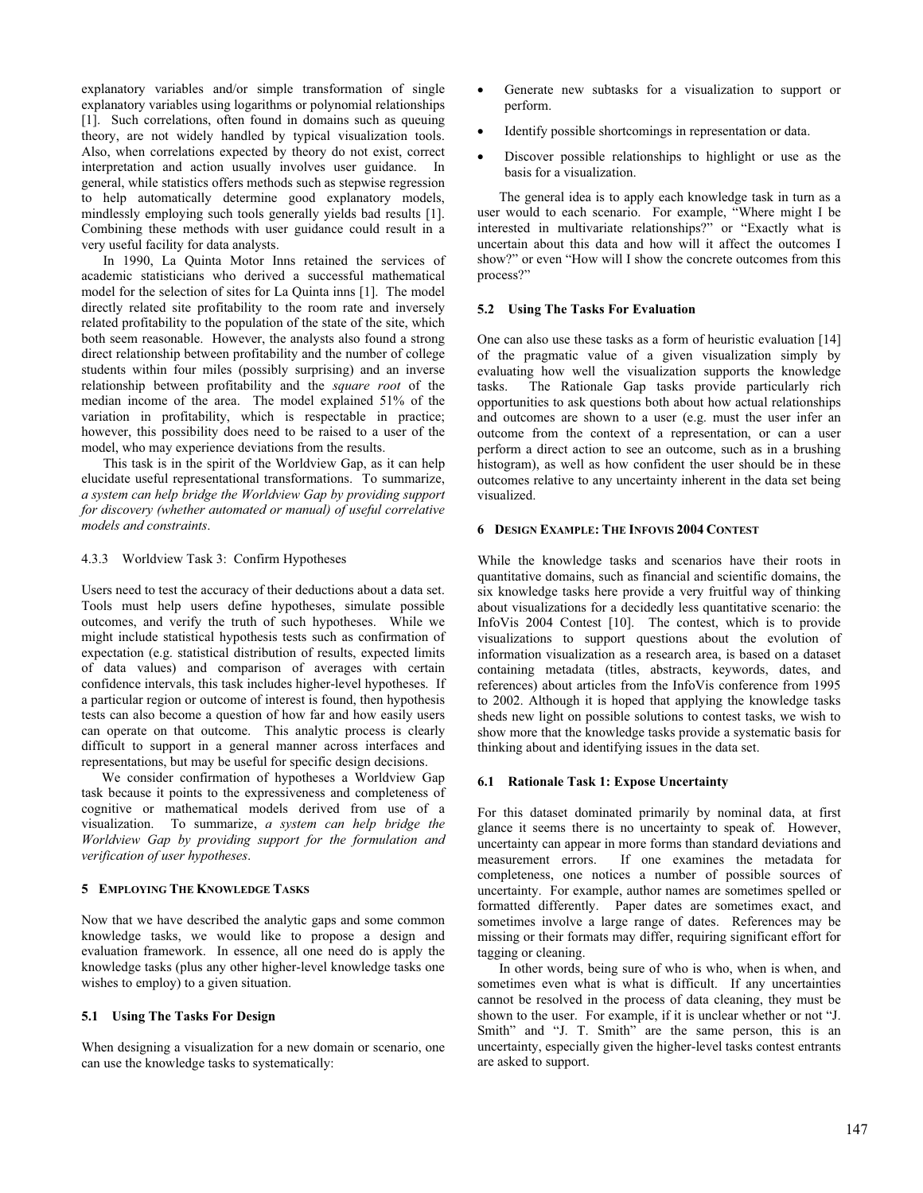explanatory variables and/or simple transformation of single explanatory variables using logarithms or polynomial relationships [1]. Such correlations, often found in domains such as queuing theory, are not widely handled by typical visualization tools. Also, when correlations expected by theory do not exist, correct interpretation and action usually involves user guidance. In general, while statistics offers methods such as stepwise regression to help automatically determine good explanatory models, mindlessly employing such tools generally yields bad results [1]. Combining these methods with user guidance could result in a very useful facility for data analysts.

In 1990, La Quinta Motor Inns retained the services of academic statisticians who derived a successful mathematical model for the selection of sites for La Quinta inns [1]. The model directly related site profitability to the room rate and inversely related profitability to the population of the state of the site, which both seem reasonable. However, the analysts also found a strong direct relationship between profitability and the number of college students within four miles (possibly surprising) and an inverse relationship between profitability and the *square root* of the median income of the area. The model explained 51% of the variation in profitability, which is respectable in practice; however, this possibility does need to be raised to a user of the model, who may experience deviations from the results.

This task is in the spirit of the Worldview Gap, as it can help elucidate useful representational transformations. To summarize, *a system can help bridge the Worldview Gap by providing support for discovery (whether automated or manual) of useful correlative models and constraints*.

#### 4.3.3 Worldview Task 3: Confirm Hypotheses

Users need to test the accuracy of their deductions about a data set. Tools must help users define hypotheses, simulate possible outcomes, and verify the truth of such hypotheses. While we might include statistical hypothesis tests such as confirmation of expectation (e.g. statistical distribution of results, expected limits of data values) and comparison of averages with certain confidence intervals, this task includes higher-level hypotheses. If a particular region or outcome of interest is found, then hypothesis tests can also become a question of how far and how easily users can operate on that outcome. This analytic process is clearly difficult to support in a general manner across interfaces and representations, but may be useful for specific design decisions.

We consider confirmation of hypotheses a Worldview Gap task because it points to the expressiveness and completeness of cognitive or mathematical models derived from use of a visualization. To summarize, *a system can help bridge the Worldview Gap by providing support for the formulation and verification of user hypotheses*.

#### **5 EMPLOYING THE KNOWLEDGE TASKS**

Now that we have described the analytic gaps and some common knowledge tasks, we would like to propose a design and evaluation framework. In essence, all one need do is apply the knowledge tasks (plus any other higher-level knowledge tasks one wishes to employ) to a given situation.

#### **5.1 Using The Tasks For Design**

When designing a visualization for a new domain or scenario, one can use the knowledge tasks to systematically:

- Generate new subtasks for a visualization to support or perform.
- Identify possible shortcomings in representation or data.
- Discover possible relationships to highlight or use as the basis for a visualization.

The general idea is to apply each knowledge task in turn as a user would to each scenario. For example, "Where might I be interested in multivariate relationships?" or "Exactly what is uncertain about this data and how will it affect the outcomes I show?" or even "How will I show the concrete outcomes from this process?"

## **5.2 Using The Tasks For Evaluation**

One can also use these tasks as a form of heuristic evaluation [14] of the pragmatic value of a given visualization simply by evaluating how well the visualization supports the knowledge tasks. The Rationale Gap tasks provide particularly rich opportunities to ask questions both about how actual relationships and outcomes are shown to a user (e.g. must the user infer an outcome from the context of a representation, or can a user perform a direct action to see an outcome, such as in a brushing histogram), as well as how confident the user should be in these outcomes relative to any uncertainty inherent in the data set being visualized.

#### **6 DESIGN EXAMPLE: THE INFOVIS 2004 CONTEST**

While the knowledge tasks and scenarios have their roots in quantitative domains, such as financial and scientific domains, the six knowledge tasks here provide a very fruitful way of thinking about visualizations for a decidedly less quantitative scenario: the InfoVis 2004 Contest [10]. The contest, which is to provide visualizations to support questions about the evolution of information visualization as a research area, is based on a dataset containing metadata (titles, abstracts, keywords, dates, and references) about articles from the InfoVis conference from 1995 to 2002. Although it is hoped that applying the knowledge tasks sheds new light on possible solutions to contest tasks, we wish to show more that the knowledge tasks provide a systematic basis for thinking about and identifying issues in the data set.

#### **6.1 Rationale Task 1: Expose Uncertainty**

For this dataset dominated primarily by nominal data, at first glance it seems there is no uncertainty to speak of. However, uncertainty can appear in more forms than standard deviations and measurement errors. If one examines the metadata for completeness, one notices a number of possible sources of uncertainty. For example, author names are sometimes spelled or formatted differently. Paper dates are sometimes exact, and sometimes involve a large range of dates. References may be missing or their formats may differ, requiring significant effort for tagging or cleaning.

In other words, being sure of who is who, when is when, and sometimes even what is what is difficult. If any uncertainties cannot be resolved in the process of data cleaning, they must be shown to the user. For example, if it is unclear whether or not "J. Smith" and "J. T. Smith" are the same person, this is an uncertainty, especially given the higher-level tasks contest entrants are asked to support.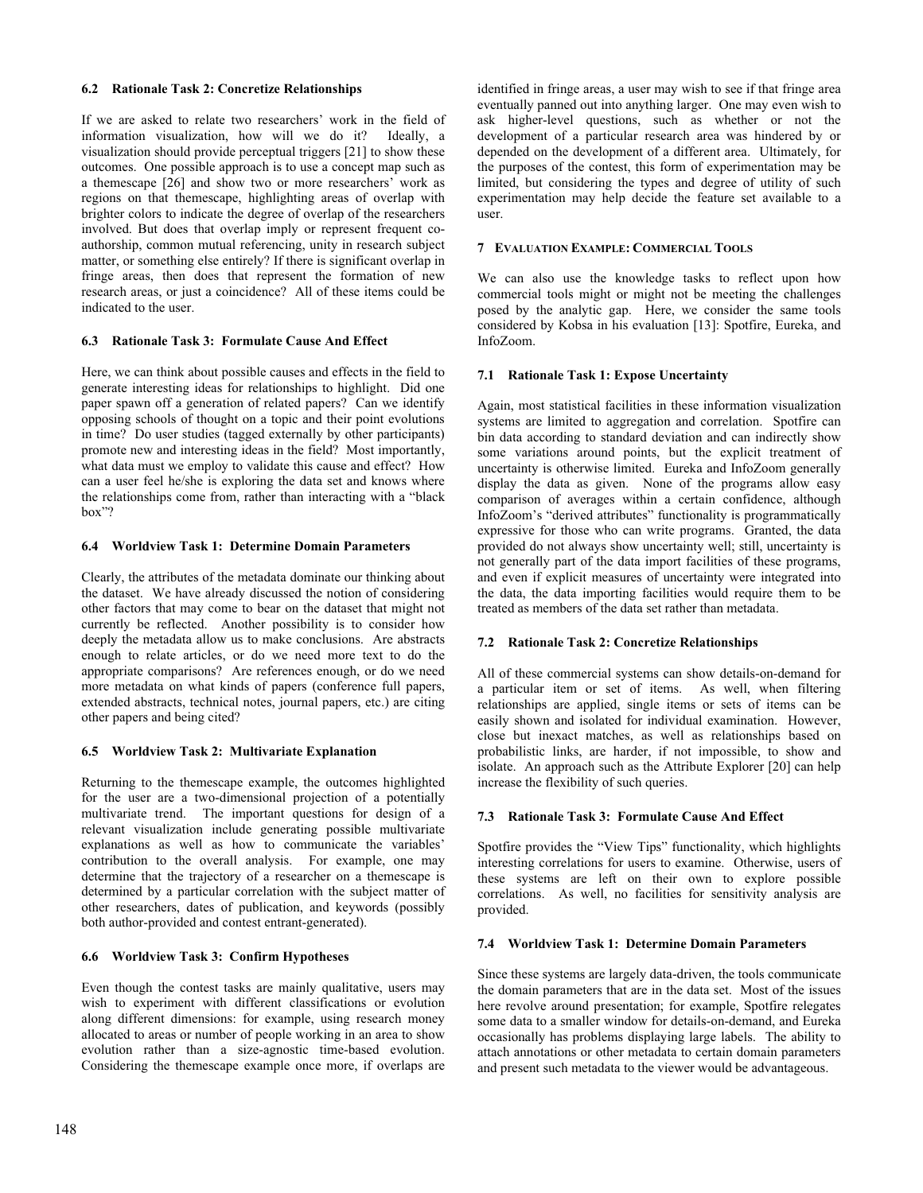## **6.2 Rationale Task 2: Concretize Relationships**

If we are asked to relate two researchers' work in the field of information visualization, how will we do it? Ideally, a visualization should provide perceptual triggers [21] to show these outcomes. One possible approach is to use a concept map such as a themescape [26] and show two or more researchers' work as regions on that themescape, highlighting areas of overlap with brighter colors to indicate the degree of overlap of the researchers involved. But does that overlap imply or represent frequent coauthorship, common mutual referencing, unity in research subject matter, or something else entirely? If there is significant overlap in fringe areas, then does that represent the formation of new research areas, or just a coincidence? All of these items could be indicated to the user.

## **6.3 Rationale Task 3: Formulate Cause And Effect**

Here, we can think about possible causes and effects in the field to generate interesting ideas for relationships to highlight. Did one paper spawn off a generation of related papers? Can we identify opposing schools of thought on a topic and their point evolutions in time? Do user studies (tagged externally by other participants) promote new and interesting ideas in the field? Most importantly, what data must we employ to validate this cause and effect? How can a user feel he/she is exploring the data set and knows where the relationships come from, rather than interacting with a "black box"?

# **6.4 Worldview Task 1: Determine Domain Parameters**

Clearly, the attributes of the metadata dominate our thinking about the dataset. We have already discussed the notion of considering other factors that may come to bear on the dataset that might not currently be reflected. Another possibility is to consider how deeply the metadata allow us to make conclusions. Are abstracts enough to relate articles, or do we need more text to do the appropriate comparisons? Are references enough, or do we need more metadata on what kinds of papers (conference full papers, extended abstracts, technical notes, journal papers, etc.) are citing other papers and being cited?

#### **6.5 Worldview Task 2: Multivariate Explanation**

Returning to the themescape example, the outcomes highlighted for the user are a two-dimensional projection of a potentially multivariate trend. The important questions for design of a relevant visualization include generating possible multivariate explanations as well as how to communicate the variables' contribution to the overall analysis. For example, one may determine that the trajectory of a researcher on a themescape is determined by a particular correlation with the subject matter of other researchers, dates of publication, and keywords (possibly both author-provided and contest entrant-generated).

#### **6.6 Worldview Task 3: Confirm Hypotheses**

Even though the contest tasks are mainly qualitative, users may wish to experiment with different classifications or evolution along different dimensions: for example, using research money allocated to areas or number of people working in an area to show evolution rather than a size-agnostic time-based evolution. Considering the themescape example once more, if overlaps are identified in fringe areas, a user may wish to see if that fringe area eventually panned out into anything larger. One may even wish to ask higher-level questions, such as whether or not the development of a particular research area was hindered by or depended on the development of a different area. Ultimately, for the purposes of the contest, this form of experimentation may be limited, but considering the types and degree of utility of such experimentation may help decide the feature set available to a user.

## **7 EVALUATION EXAMPLE: COMMERCIAL TOOLS**

We can also use the knowledge tasks to reflect upon how commercial tools might or might not be meeting the challenges posed by the analytic gap. Here, we consider the same tools considered by Kobsa in his evaluation [13]: Spotfire, Eureka, and InfoZoom.

## **7.1 Rationale Task 1: Expose Uncertainty**

Again, most statistical facilities in these information visualization systems are limited to aggregation and correlation. Spotfire can bin data according to standard deviation and can indirectly show some variations around points, but the explicit treatment of uncertainty is otherwise limited. Eureka and InfoZoom generally display the data as given. None of the programs allow easy comparison of averages within a certain confidence, although InfoZoom's "derived attributes" functionality is programmatically expressive for those who can write programs. Granted, the data provided do not always show uncertainty well; still, uncertainty is not generally part of the data import facilities of these programs, and even if explicit measures of uncertainty were integrated into the data, the data importing facilities would require them to be treated as members of the data set rather than metadata.

#### **7.2 Rationale Task 2: Concretize Relationships**

All of these commercial systems can show details-on-demand for a particular item or set of items. As well, when filtering relationships are applied, single items or sets of items can be easily shown and isolated for individual examination. However, close but inexact matches, as well as relationships based on probabilistic links, are harder, if not impossible, to show and isolate. An approach such as the Attribute Explorer [20] can help increase the flexibility of such queries.

## **7.3 Rationale Task 3: Formulate Cause And Effect**

Spotfire provides the "View Tips" functionality, which highlights interesting correlations for users to examine. Otherwise, users of these systems are left on their own to explore possible correlations. As well, no facilities for sensitivity analysis are provided.

# **7.4 Worldview Task 1: Determine Domain Parameters**

Since these systems are largely data-driven, the tools communicate the domain parameters that are in the data set. Most of the issues here revolve around presentation; for example, Spotfire relegates some data to a smaller window for details-on-demand, and Eureka occasionally has problems displaying large labels. The ability to attach annotations or other metadata to certain domain parameters and present such metadata to the viewer would be advantageous.